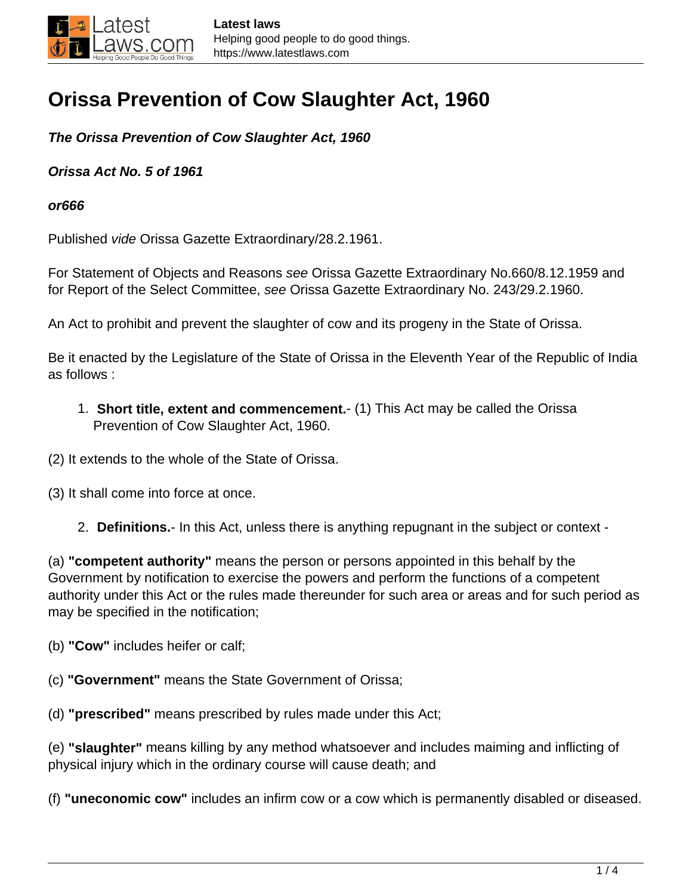## **Orissa Prevention of Cow Slaughter Act, 1960**

**The Orissa Prevention of Cow Slaughter Act, 1960**

**Orissa Act No. 5 of 1961**

**or666**

Published vide Orissa Gazette Extraordinary/28.2.1961.

For Statement of Objects and Reasons see Orissa Gazette Extraordinary No.660/8.12.1959 and for Report of the Select Committee, see Orissa Gazette Extraordinary No. 243/29.2.1960.

An Act to prohibit and prevent the slaughter of cow and its progeny in the State of Orissa.

Be it enacted by the Legislature of the State of Orissa in the Eleventh Year of the Republic of India as follows :

1. **Short title, extent and commencement.**- (1) This Act may be called the Orissa Prevention of Cow Slaughter Act, 1960.

(2) It extends to the whole of the State of Orissa.

- (3) It shall come into force at once.
	- 2. **Definitions.** In this Act, unless there is anything repugnant in the subject or context -

(a) **"competent authority"** means the person or persons appointed in this behalf by the Government by notification to exercise the powers and perform the functions of a competent authority under this Act or the rules made thereunder for such area or areas and for such period as may be specified in the notification;

(b) **"Cow"** includes heifer or calf;

(c) **"Government"** means the State Government of Orissa;

(d) **"prescribed"** means prescribed by rules made under this Act;

(e) **"slaughter"** means killing by any method whatsoever and includes maiming and inflicting of physical injury which in the ordinary course will cause death; and

(f) **"uneconomic cow"** includes an infirm cow or a cow which is permanently disabled or diseased.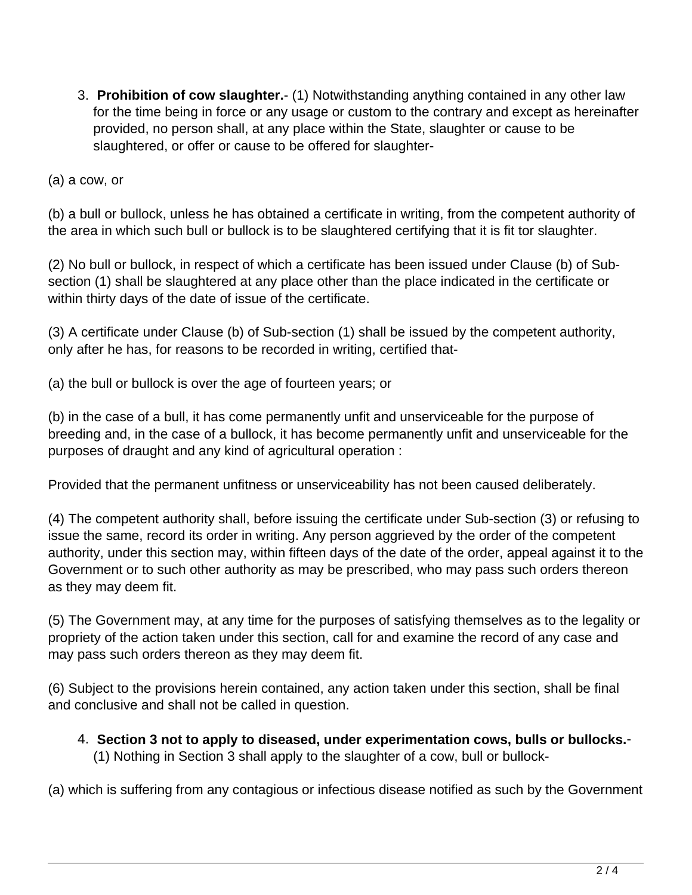3. **Prohibition of cow slaughter.**- (1) Notwithstanding anything contained in any other law for the time being in force or any usage or custom to the contrary and except as hereinafter provided, no person shall, at any place within the State, slaughter or cause to be slaughtered, or offer or cause to be offered for slaughter-

(a) a cow, or

(b) a bull or bullock, unless he has obtained a certificate in writing, from the competent authority of the area in which such bull or bullock is to be slaughtered certifying that it is fit tor slaughter.

(2) No bull or bullock, in respect of which a certificate has been issued under Clause (b) of Subsection (1) shall be slaughtered at any place other than the place indicated in the certificate or within thirty days of the date of issue of the certificate.

(3) A certificate under Clause (b) of Sub-section (1) shall be issued by the competent authority, only after he has, for reasons to be recorded in writing, certified that-

(a) the bull or bullock is over the age of fourteen years; or

(b) in the case of a bull, it has come permanently unfit and unserviceable for the purpose of breeding and, in the case of a bullock, it has become permanently unfit and unserviceable for the purposes of draught and any kind of agricultural operation :

Provided that the permanent unfitness or unserviceability has not been caused deliberately.

(4) The competent authority shall, before issuing the certificate under Sub-section (3) or refusing to issue the same, record its order in writing. Any person aggrieved by the order of the competent authority, under this section may, within fifteen days of the date of the order, appeal against it to the Government or to such other authority as may be prescribed, who may pass such orders thereon as they may deem fit.

(5) The Government may, at any time for the purposes of satisfying themselves as to the legality or propriety of the action taken under this section, call for and examine the record of any case and may pass such orders thereon as they may deem fit.

(6) Subject to the provisions herein contained, any action taken under this section, shall be final and conclusive and shall not be called in question.

4. **Section 3 not to apply to diseased, under experimentation cows, bulls or bullocks.**- (1) Nothing in Section 3 shall apply to the slaughter of a cow, bull or bullock-

(a) which is suffering from any contagious or infectious disease notified as such by the Government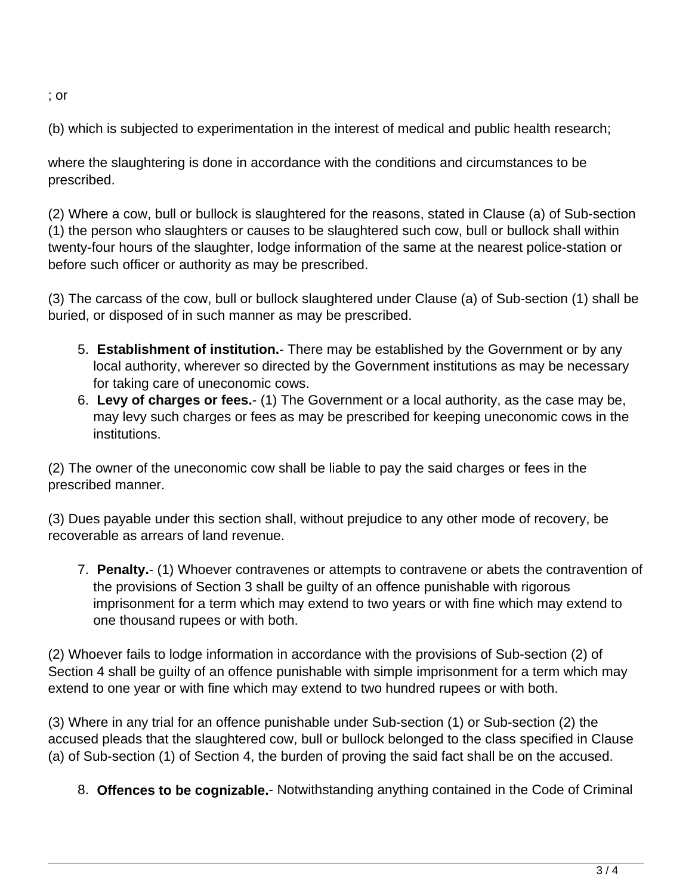; or

(b) which is subjected to experimentation in the interest of medical and public health research;

where the slaughtering is done in accordance with the conditions and circumstances to be prescribed.

(2) Where a cow, bull or bullock is slaughtered for the reasons, stated in Clause (a) of Sub-section (1) the person who slaughters or causes to be slaughtered such cow, bull or bullock shall within twenty-four hours of the slaughter, lodge information of the same at the nearest police-station or before such officer or authority as may be prescribed.

(3) The carcass of the cow, bull or bullock slaughtered under Clause (a) of Sub-section (1) shall be buried, or disposed of in such manner as may be prescribed.

- 5. **Establishment of institution.** There may be established by the Government or by any local authority, wherever so directed by the Government institutions as may be necessary for taking care of uneconomic cows.
- 6. **Levy of charges or fees.** (1) The Government or a local authority, as the case may be, may levy such charges or fees as may be prescribed for keeping uneconomic cows in the institutions.

(2) The owner of the uneconomic cow shall be liable to pay the said charges or fees in the prescribed manner.

(3) Dues payable under this section shall, without prejudice to any other mode of recovery, be recoverable as arrears of land revenue.

7. **Penalty.**- (1) Whoever contravenes or attempts to contravene or abets the contravention of the provisions of Section 3 shall be guilty of an offence punishable with rigorous imprisonment for a term which may extend to two years or with fine which may extend to one thousand rupees or with both.

(2) Whoever fails to lodge information in accordance with the provisions of Sub-section (2) of Section 4 shall be guilty of an offence punishable with simple imprisonment for a term which may extend to one year or with fine which may extend to two hundred rupees or with both.

(3) Where in any trial for an offence punishable under Sub-section (1) or Sub-section (2) the accused pleads that the slaughtered cow, bull or bullock belonged to the class specified in Clause (a) of Sub-section (1) of Section 4, the burden of proving the said fact shall be on the accused.

8. **Offences to be cognizable.**- Notwithstanding anything contained in the Code of Criminal